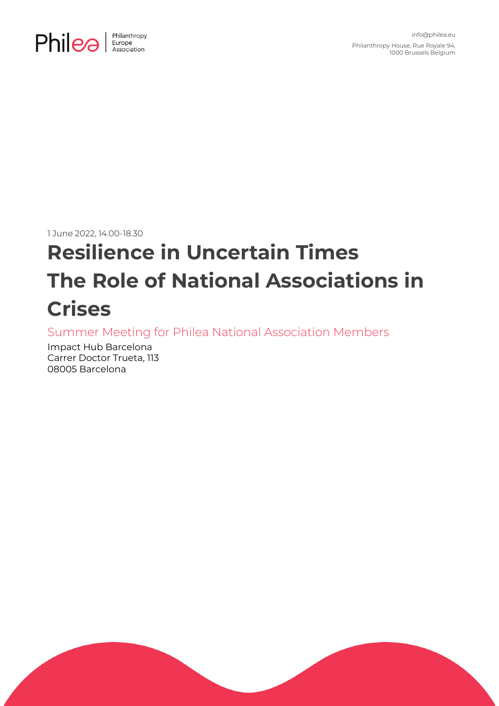

1 June 2022, 14.00-18.30

# **Resilience in Uncertain Times The Role of National Associations in Crises**

Summer Meeting for Philea National Association Members

Impact Hub Barcelona Carrer Doctor Trueta, 113 08005 Barcelona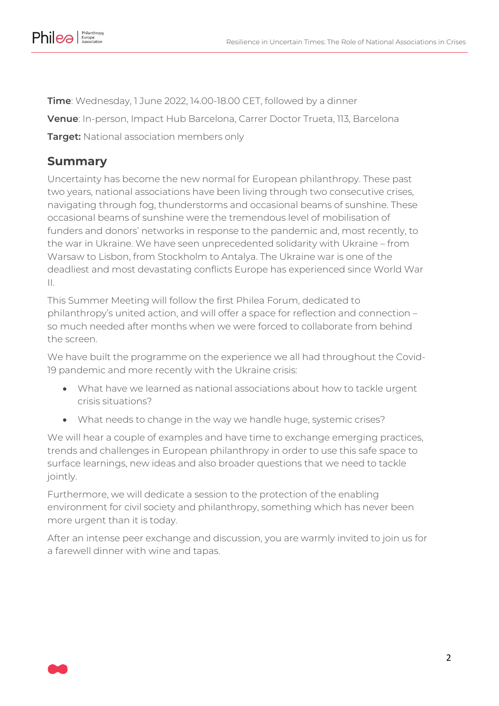

**Time**: Wednesday, 1 June 2022, 14.00-18.00 CET, followed by a dinner **Venue**: In-person, Impact Hub Barcelona, Carrer Doctor Trueta, 113, Barcelona **Target:** National association members only

### **Summary**

Uncertainty has become the new normal for European philanthropy. These past two years, national associations have been living through two consecutive crises, navigating through fog, thunderstorms and occasional beams of sunshine. These occasional beams of sunshine were the tremendous level of mobilisation of funders and donors' networks in response to the pandemic and, most recently, to the war in Ukraine. We have seen unprecedented solidarity with Ukraine – from Warsaw to Lisbon, from Stockholm to Antalya. The Ukraine war is one of the deadliest and most devastating conflicts Europe has experienced since World War II.

This Summer Meeting will follow the first Philea Forum, dedicated to philanthropy's united action, and will offer a space for reflection and connection – so much needed after months when we were forced to collaborate from behind the screen.

We have built the programme on the experience we all had throughout the Covid-19 pandemic and more recently with the Ukraine crisis:

- What have we learned as national associations about how to tackle urgent crisis situations?
- What needs to change in the way we handle huge, systemic crises?

We will hear a couple of examples and have time to exchange emerging practices, trends and challenges in European philanthropy in order to use this safe space to surface learnings, new ideas and also broader questions that we need to tackle jointly.

Furthermore, we will dedicate a session to the protection of the enabling environment for civil society and philanthropy, something which has never been more urgent than it is today.

After an intense peer exchange and discussion, you are warmly invited to join us for a farewell dinner with wine and tapas.

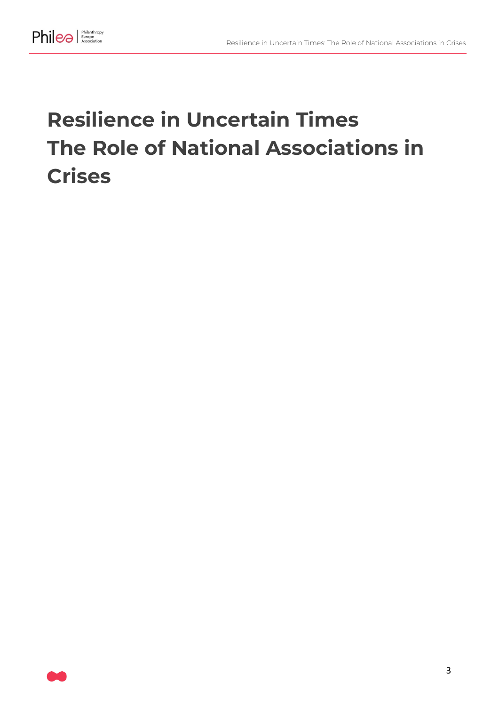

## **Resilience in Uncertain Times The Role of National Associations in Crises**

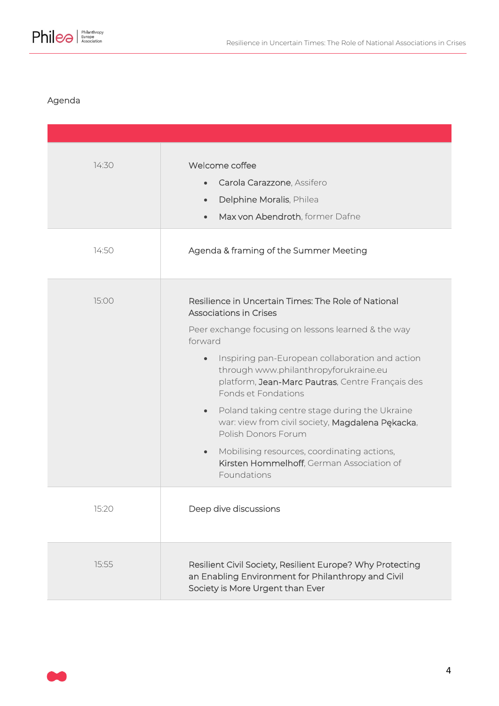

#### Agenda

| 14:30 | Welcome coffee<br>Carola Carazzone, Assifero<br>$\bullet$<br>Delphine Moralis, Philea<br>$\bullet$<br>Max von Abendroth, former Dafne<br>$\bullet$                                                                                                                                                                                                                                                                                                                                                                                                                                                          |
|-------|-------------------------------------------------------------------------------------------------------------------------------------------------------------------------------------------------------------------------------------------------------------------------------------------------------------------------------------------------------------------------------------------------------------------------------------------------------------------------------------------------------------------------------------------------------------------------------------------------------------|
| 14:50 | Agenda & framing of the Summer Meeting                                                                                                                                                                                                                                                                                                                                                                                                                                                                                                                                                                      |
| 15:00 | Resilience in Uncertain Times: The Role of National<br><b>Associations in Crises</b><br>Peer exchange focusing on lessons learned & the way<br>forward<br>Inspiring pan-European collaboration and action<br>$\bullet$<br>through www.philanthropyforukraine.eu<br>platform, Jean-Marc Pautras, Centre Français des<br>Fonds et Fondations<br>Poland taking centre stage during the Ukraine<br>$\bullet$<br>war: view from civil society, Magdalena Pękacka,<br>Polish Donors Forum<br>Mobilising resources, coordinating actions,<br>$\bullet$<br>Kirsten Hommelhoff, German Association of<br>Foundations |
| 15:20 | Deep dive discussions                                                                                                                                                                                                                                                                                                                                                                                                                                                                                                                                                                                       |
| 15:55 | Resilient Civil Society, Resilient Europe? Why Protecting<br>an Enabling Environment for Philanthropy and Civil<br>Society is More Urgent than Ever                                                                                                                                                                                                                                                                                                                                                                                                                                                         |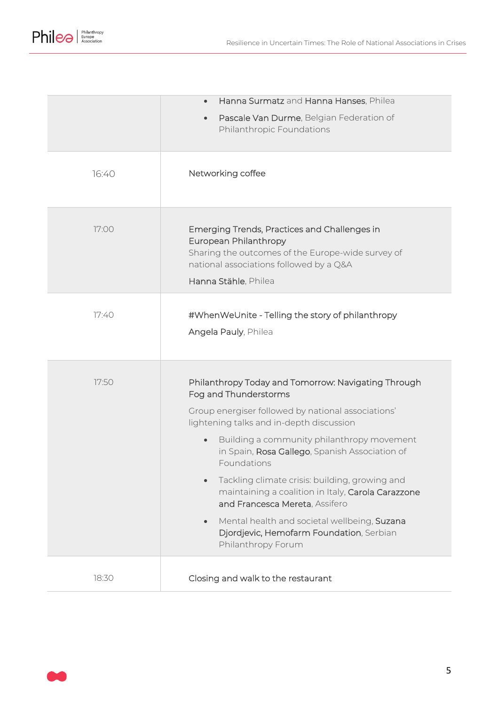

|       | Hanna Surmatz and Hanna Hanses, Philea                                                                                                                                                                                                                                                                                                                                                                                                                                                                                                                                              |
|-------|-------------------------------------------------------------------------------------------------------------------------------------------------------------------------------------------------------------------------------------------------------------------------------------------------------------------------------------------------------------------------------------------------------------------------------------------------------------------------------------------------------------------------------------------------------------------------------------|
|       | Pascale Van Durme, Belgian Federation of<br>$\bullet$<br>Philanthropic Foundations                                                                                                                                                                                                                                                                                                                                                                                                                                                                                                  |
| 16:40 | Networking coffee                                                                                                                                                                                                                                                                                                                                                                                                                                                                                                                                                                   |
| 17:00 | Emerging Trends, Practices and Challenges in<br>European Philanthropy<br>Sharing the outcomes of the Europe-wide survey of<br>national associations followed by a Q&A<br>Hanna Stähle, Philea                                                                                                                                                                                                                                                                                                                                                                                       |
| 77:40 | #WhenWeUnite - Telling the story of philanthropy<br>Angela Pauly, Philea                                                                                                                                                                                                                                                                                                                                                                                                                                                                                                            |
| 17:50 | Philanthropy Today and Tomorrow: Navigating Through<br>Fog and Thunderstorms<br>Group energiser followed by national associations'<br>lightening talks and in-depth discussion<br>Building a community philanthropy movement<br>$\bullet$<br>in Spain, Rosa Gallego, Spanish Association of<br>Foundations<br>Tackling climate crisis: building, growing and<br>maintaining a coalition in Italy, Carola Carazzone<br>and Francesca Mereta, Assifero<br>Mental health and societal wellbeing, Suzana<br>$\bullet$<br>Djordjevic, Hemofarm Foundation, Serbian<br>Philanthropy Forum |
| 18:30 | Closing and walk to the restaurant                                                                                                                                                                                                                                                                                                                                                                                                                                                                                                                                                  |